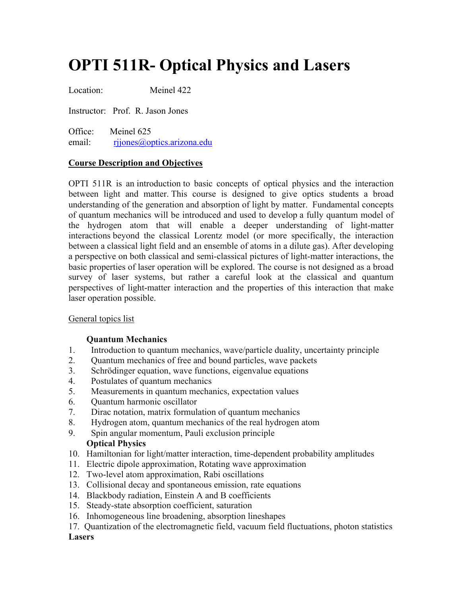# **OPTI 511R- Optical Physics and Lasers**

Location: Meinel 422

Instructor: Prof. R. Jason Jones

Office: Meinel 625 email: rijones@optics.arizona.edu

## **Course Description and Objectives**

OPTI 511R is an introduction to basic concepts of optical physics and the interaction between light and matter. This course is designed to give optics students a broad understanding of the generation and absorption of light by matter. Fundamental concepts of quantum mechanics will be introduced and used to develop a fully quantum model of the hydrogen atom that will enable a deeper understanding of light-matter interactions beyond the classical Lorentz model (or more specifically, the interaction between a classical light field and an ensemble of atoms in a dilute gas). After developing a perspective on both classical and semi-classical pictures of light-matter interactions, the basic properties of laser operation will be explored. The course is not designed as a broad survey of laser systems, but rather a careful look at the classical and quantum perspectives of light-matter interaction and the properties of this interaction that make laser operation possible.

#### General topics list

#### **Quantum Mechanics**

- 1. Introduction to quantum mechanics, wave/particle duality, uncertainty principle
- 2. Quantum mechanics of free and bound particles, wave packets
- 3. Schrödinger equation, wave functions, eigenvalue equations
- 4. Postulates of quantum mechanics
- 5. Measurements in quantum mechanics, expectation values
- 6. Quantum harmonic oscillator
- 7. Dirac notation, matrix formulation of quantum mechanics
- 8. Hydrogen atom, quantum mechanics of the real hydrogen atom
- 9. Spin angular momentum, Pauli exclusion principle **Optical Physics**
- 10. Hamiltonian for light/matter interaction, time-dependent probability amplitudes
- 11. Electric dipole approximation, Rotating wave approximation
- 12. Two-level atom approximation, Rabi oscillations
- 13. Collisional decay and spontaneous emission, rate equations
- 14. Blackbody radiation, Einstein A and B coefficients
- 15. Steady-state absorption coefficient, saturation
- 16. Inhomogeneous line broadening, absorption lineshapes
- 17. Quantization of the electromagnetic field, vacuum field fluctuations, photon statistics

#### **Lasers**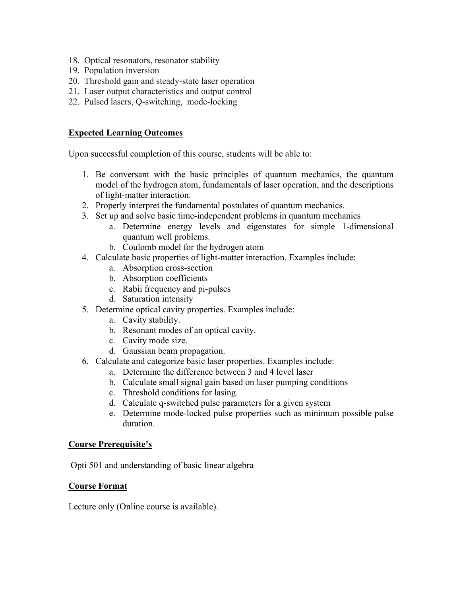- 18. Optical resonators, resonator stability
- 19. Population inversion
- 20. Threshold gain and steady-state laser operation
- 21. Laser output characteristics and output control
- 22. Pulsed lasers, Q-switching, mode-locking

## **Expected Learning Outcomes**

Upon successful completion of this course, students will be able to:

- 1. Be conversant with the basic principles of quantum mechanics, the quantum model of the hydrogen atom, fundamentals of laser operation, and the descriptions of light-matter interaction.
- 2. Properly interpret the fundamental postulates of quantum mechanics.
- 3. Set up and solve basic time-independent problems in quantum mechanics
	- a. Determine energy levels and eigenstates for simple 1-dimensional quantum well problems.
	- b. Coulomb model for the hydrogen atom
- 4. Calculate basic properties of light-matter interaction. Examples include:
	- a. Absorption cross-section
	- b. Absorption coefficients
	- c. Rabii frequency and pi-pulses
	- d. Saturation intensity
- 5. Determine optical cavity properties. Examples include:
	- a. Cavity stability.
	- b. Resonant modes of an optical cavity.
	- c. Cavity mode size.
	- d. Gaussian beam propagation.
- 6. Calculate and categorize basic laser properties. Examples include:
	- a. Determine the difference between 3 and 4 level laser
	- b. Calculate small signal gain based on laser pumping conditions
	- c. Threshold conditions for lasing.
	- d. Calculate q-switched pulse parameters for a given system
	- e. Determine mode-locked pulse properties such as minimum possible pulse duration.

#### **Course Prerequisite's**

Opti 501 and understanding of basic linear algebra

## **Course Format**

Lecture only (Online course is available).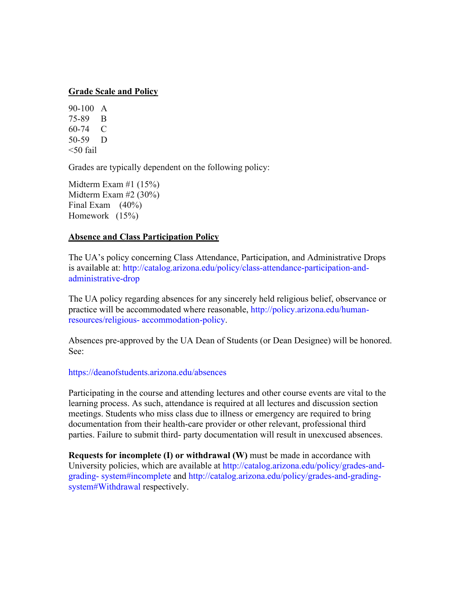#### **Grade Scale and Policy**

90-100 A 75-89 B 60-74 C 50-59 D  $<$ 50 fail

Grades are typically dependent on the following policy:

Midterm Exam #1 (15%) Midterm Exam #2 (30%) Final Exam (40%) Homework (15%)

#### **Absence and Class Participation Policy**

The UA's policy concerning Class Attendance, Participation, and Administrative Drops is available at: http://catalog.arizona.edu/policy/class-attendance-participation-andadministrative-drop

The UA policy regarding absences for any sincerely held religious belief, observance or practice will be accommodated where reasonable, http://policy.arizona.edu/humanresources/religious- accommodation-policy.

Absences pre-approved by the UA Dean of Students (or Dean Designee) will be honored. See:

#### https://deanofstudents.arizona.edu/absences

Participating in the course and attending lectures and other course events are vital to the learning process. As such, attendance is required at all lectures and discussion section meetings. Students who miss class due to illness or emergency are required to bring documentation from their health-care provider or other relevant, professional third parties. Failure to submit third- party documentation will result in unexcused absences.

**Requests for incomplete (I) or withdrawal (W)** must be made in accordance with University policies, which are available at http://catalog.arizona.edu/policy/grades-andgrading- system#incomplete and http://catalog.arizona.edu/policy/grades-and-gradingsystem#Withdrawal respectively.